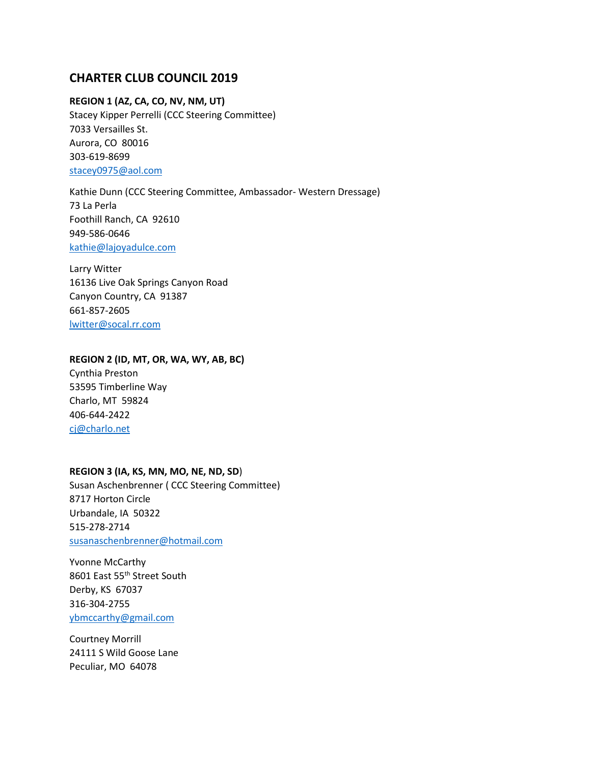# **CHARTER CLUB COUNCIL 2019**

## **REGION 1 (AZ, CA, CO, NV, NM, UT)**

Stacey Kipper Perrelli (CCC Steering Committee) 7033 Versailles St. Aurora, CO 80016 303-619-8699 [stacey0975@aol.com](mailto:stacey0975@aol.com)

Kathie Dunn (CCC Steering Committee, Ambassador- Western Dressage) 73 La Perla Foothill Ranch, CA 92610 949-586-0646 [kathie@lajoyadulce.com](mailto:kathie@lajoyadulce.com)

Larry Witter 16136 Live Oak Springs Canyon Road Canyon Country, CA 91387 661-857-2605 [lwitter@socal.rr.com](mailto:lwitter@socal.rr.com)

### **REGION 2 (ID, MT, OR, WA, WY, AB, BC)**

Cynthia Preston 53595 Timberline Way Charlo, MT 59824 406-644-2422 [cj@charlo.net](mailto:cj@charlo.net)

## **REGION 3 (IA, KS, MN, MO, NE, ND, SD**)

Susan Aschenbrenner ( CCC Steering Committee) 8717 Horton Circle Urbandale, IA 50322 515-278-2714 [susanaschenbrenner@hotmail.com](mailto:susanaschenbrenner@hotmail.com)

Yvonne McCarthy 8601 East 55th Street South Derby, KS 67037 316-304-2755 [ybmccarthy@gmail.com](mailto:ybmccarthy@gmail.com)

Courtney Morrill 24111 S Wild Goose Lane Peculiar, MO 64078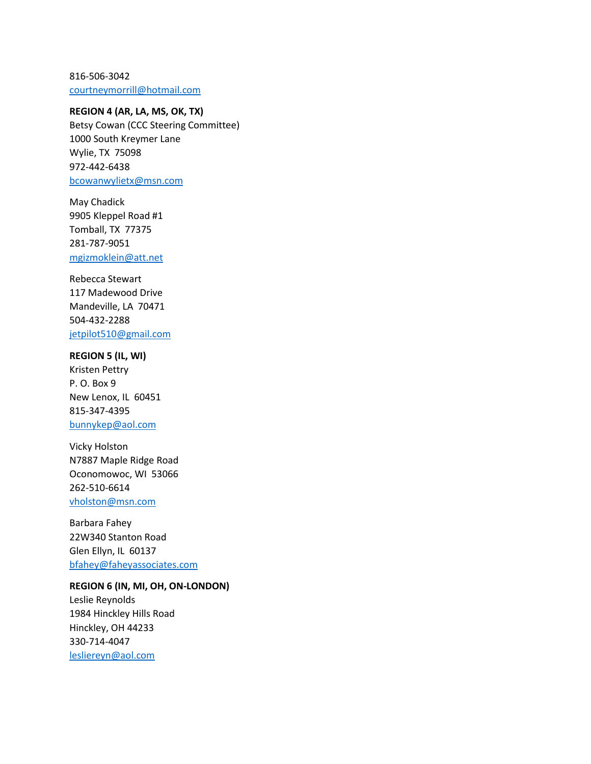816-506-3042 [courtneymorrill@hotmail.com](mailto:courtneymorrill@hotmail.com)

## **REGION 4 (AR, LA, MS, OK, TX)**

Betsy Cowan (CCC Steering Committee) 1000 South Kreymer Lane Wylie, TX 75098 972-442-6438 [bcowanwylietx@msn.com](mailto:bcowanwylietx@msn.com)

May Chadick 9905 Kleppel Road #1 Tomball, TX 77375 281-787-9051 [mgizmoklein@att.net](mailto:mgizmoklein@att.net)

Rebecca Stewart 117 Madewood Drive Mandeville, LA 70471 504-432-2288 [jetpilot510@gmail.com](mailto:jetpilot510@gmail.com)

**REGION 5 (IL, WI)** Kristen Pettry P. O. Box 9 New Lenox, IL 60451 815-347-4395 [bunnykep@aol.com](mailto:bunnykep@aol.com)

Vicky Holston N7887 Maple Ridge Road Oconomowoc, WI 53066 262-510-6614 [vholston@msn.com](mailto:vholston@msn.com)

Barbara Fahey 22W340 Stanton Road Glen Ellyn, IL 60137 [bfahey@faheyassociates.com](mailto:bfahey@faheyassociates.com)

## **REGION 6 (IN, MI, OH, ON-LONDON)** Leslie Reynolds

1984 Hinckley Hills Road Hinckley, OH 44233 330-714-4047 [lesliereyn@aol.com](mailto:lesliereyn@aol.com)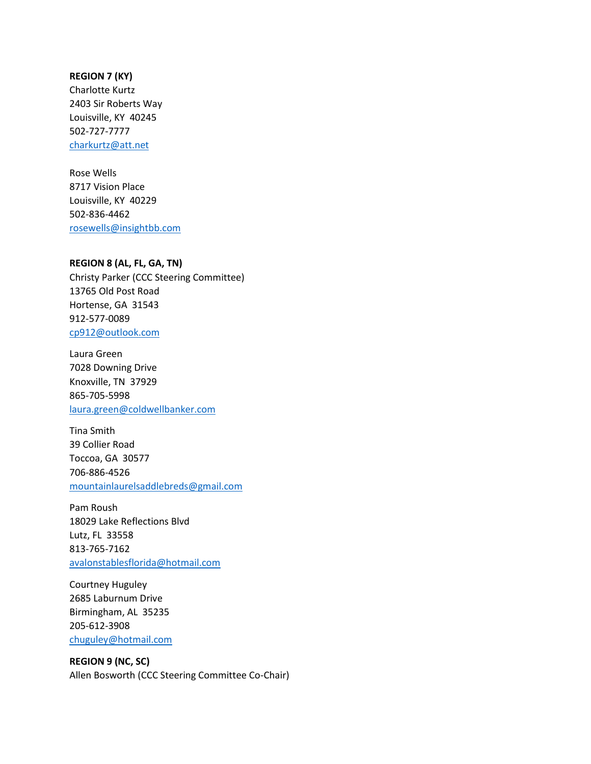#### **REGION 7 (KY)**

Charlotte Kurtz 2403 Sir Roberts Way Louisville, KY 40245 502-727-7777 [charkurtz@att.net](mailto:charkurtz@att.net)

Rose Wells 8717 Vision Place Louisville, KY 40229 502-836-4462 [rosewells@insightbb.com](mailto:rosewells@insightbb.com)

### **REGION 8 (AL, FL, GA, TN)**

Christy Parker (CCC Steering Committee) 13765 Old Post Road Hortense, GA 31543 912-577-0089 [cp912@outlook.com](mailto:cp912@outlook.com)

Laura Green 7028 Downing Drive Knoxville, TN 37929 865-705-5998 [laura.green@coldwellbanker.com](mailto:laura.green@coldwellbanker.com)

Tina Smith 39 Collier Road Toccoa, GA 30577 706-886-4526 [mountainlaurelsaddlebreds@gmail.com](mailto:mountainlaurelsaddlebreds@gmail.com)

Pam Roush 18029 Lake Reflections Blvd Lutz, FL 33558 813-765-7162 [avalonstablesflorida@hotmail.com](mailto:avalonstablesflorida@hotmail.com)

Courtney Huguley 2685 Laburnum Drive Birmingham, AL 35235 205-612-3908 [chuguley@hotmail.com](mailto:chuguley@hotmail.com)

**REGION 9 (NC, SC)** Allen Bosworth (CCC Steering Committee Co-Chair)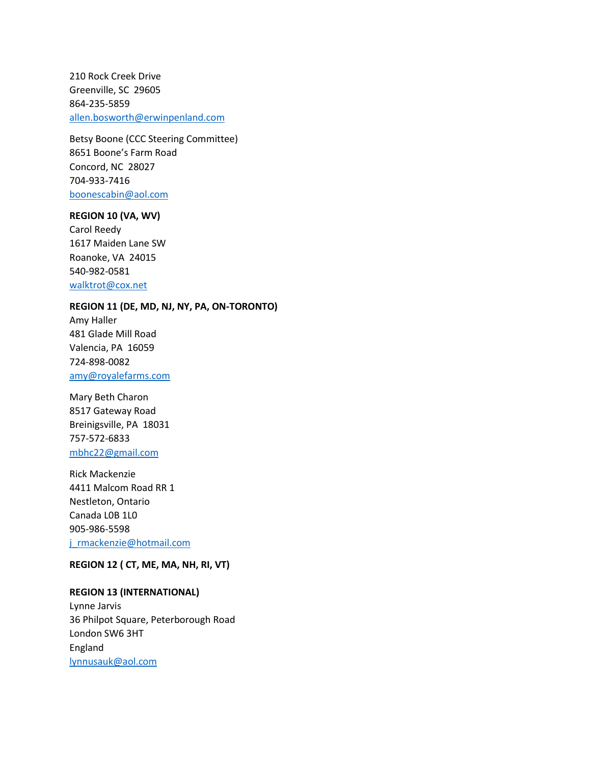210 Rock Creek Drive Greenville, SC 29605 864-235-5859 [allen.bosworth@erwinpenland.com](mailto:allen.bosworth@erwinpenland.com)

Betsy Boone (CCC Steering Committee) 8651 Boone's Farm Road Concord, NC 28027 704-933-7416 [boonescabin@aol.com](mailto:boonescabin@aol.com)

#### **REGION 10 (VA, WV)**

Carol Reedy 1617 Maiden Lane SW Roanoke, VA 24015 540-982-0581 [walktrot@cox.net](mailto:walktrot@cox.net)

#### **REGION 11 (DE, MD, NJ, NY, PA, ON-TORONTO)**

Amy Haller 481 Glade Mill Road Valencia, PA 16059 724-898-0082 [amy@royalefarms.com](mailto:amy@royalefarms.com)

#### Mary Beth Charon

8517 Gateway Road Breinigsville, PA 18031 757-572-6833 [mbhc22@gmail.com](mailto:mbhc22@gmail.com)

Rick Mackenzie 4411 Malcom Road RR 1 Nestleton, Ontario Canada L0B 1L0 905-986-5598 [j\\_rmackenzie@hotmail.com](mailto:j_rmackenzie@hotmail.com)

## **REGION 12 ( CT, ME, MA, NH, RI, VT)**

### **REGION 13 (INTERNATIONAL)**

Lynne Jarvis 36 Philpot Square, Peterborough Road London SW6 3HT England [lynnusauk@aol.com](mailto:lynnusauk@aol.com)